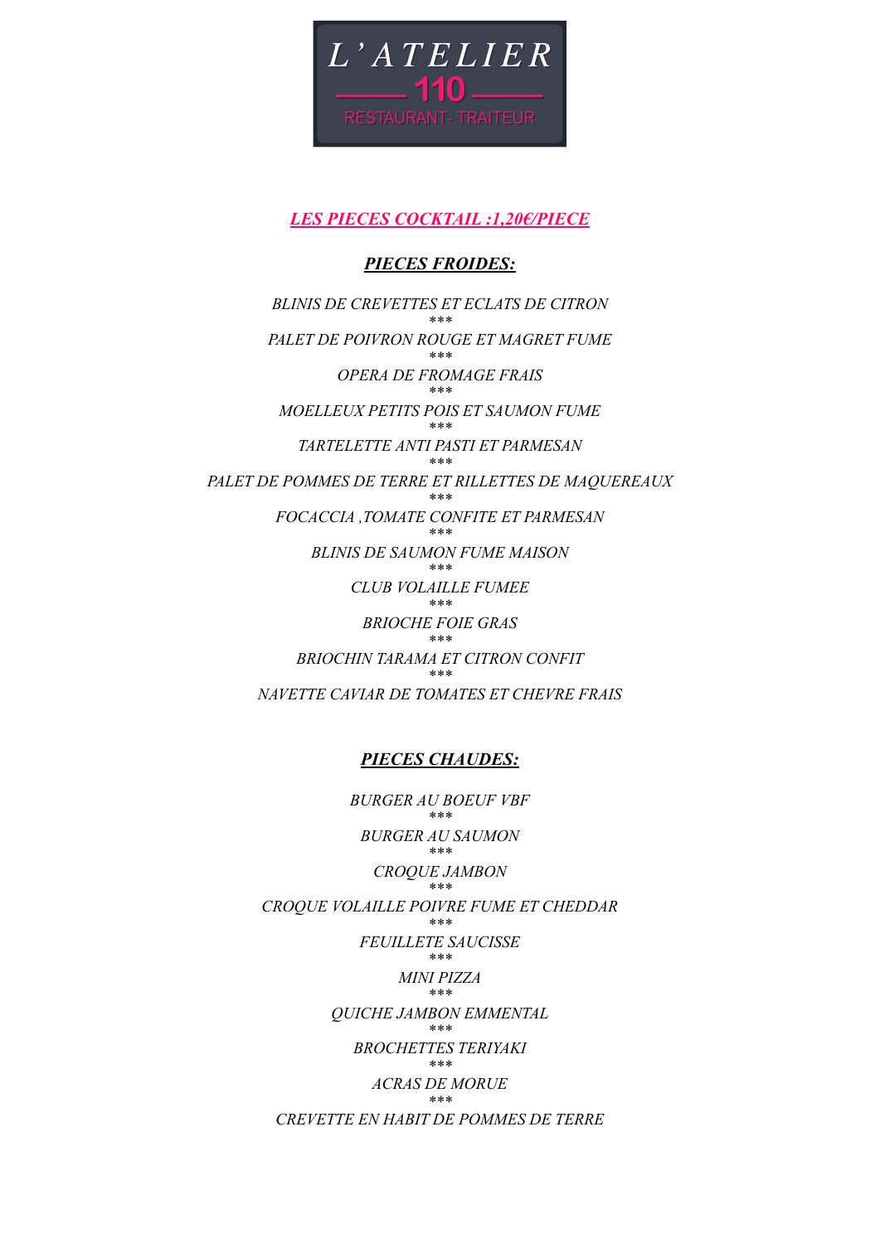

# *LES PIECES COCKTAIL :1,20€/PIECE*

## *PIECES FROIDES:*

*BLINIS DE CREVETTES ET ECLATS DE CITRON \*\*\* PALET DE POIVRON ROUGE ET MAGRET FUME \*\*\* OPERA DE FROMAGE FRAIS \*\*\* MOELLEUX PETITS POIS ET SAUMON FUME \*\*\* TARTELETTE ANTI PASTI ET PARMESAN \*\*\* PALET DE POMMES DE TERRE ET RILLETTES DE MAQUEREAUX \*\*\* FOCACCIA ,TOMATE CONFITE ET PARMESAN \*\*\* BLINIS DE SAUMON FUME MAISON \*\*\* CLUB VOLAILLE FUMEE \*\*\* BRIOCHE FOIE GRAS \*\*\* BRIOCHIN TARAMA ET CITRON CONFIT \*\*\* NAVETTE CAVIAR DE TOMATES ET CHEVRE FRAIS*

## *PIECES CHAUDES:*

*BURGER AU BOEUF VBF \*\*\* BURGER AU SAUMON \*\*\* CROQUE JAMBON \*\*\* CROQUE VOLAILLE POIVRE FUME ET CHEDDAR \*\*\* FEUILLETE SAUCISSE \*\*\* MINI PIZZA \*\*\* QUICHE JAMBON EMMENTAL \*\*\* BROCHETTES TERIYAKI \*\*\* ACRAS DE MORUE \*\*\* CREVETTE EN HABIT DE POMMES DE TERRE*